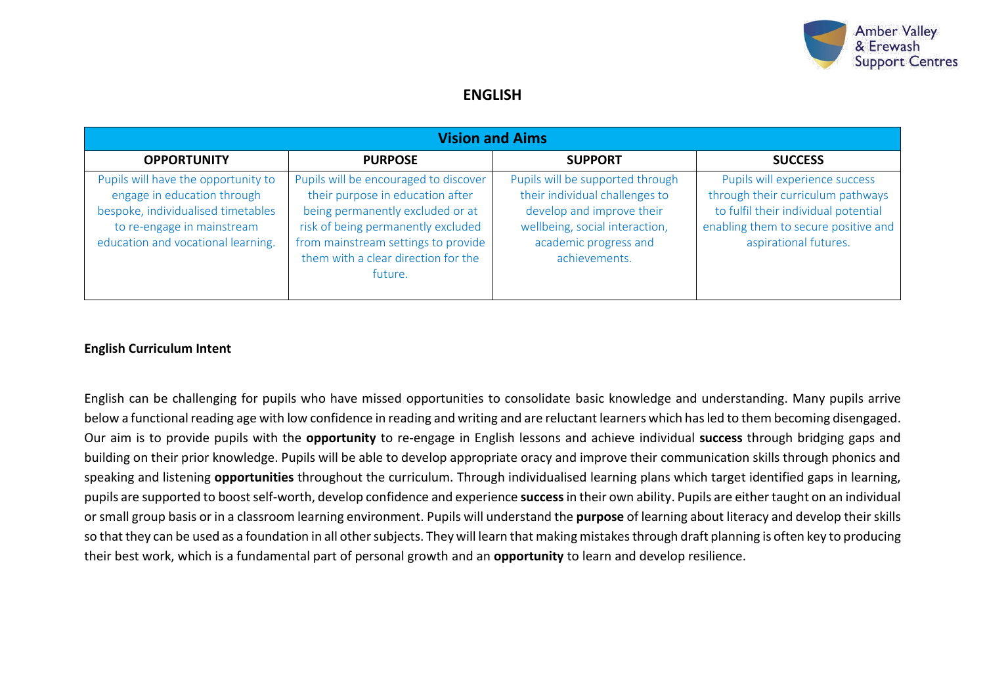

# **ENGLISH**

| <b>Vision and Aims</b>                                                                                                                                                       |                                                                                                                                                                                                                                              |                                                                                                                                                                             |                                                                                                                                                                              |  |  |  |
|------------------------------------------------------------------------------------------------------------------------------------------------------------------------------|----------------------------------------------------------------------------------------------------------------------------------------------------------------------------------------------------------------------------------------------|-----------------------------------------------------------------------------------------------------------------------------------------------------------------------------|------------------------------------------------------------------------------------------------------------------------------------------------------------------------------|--|--|--|
| <b>OPPORTUNITY</b>                                                                                                                                                           | <b>PURPOSE</b>                                                                                                                                                                                                                               | <b>SUPPORT</b>                                                                                                                                                              | <b>SUCCESS</b>                                                                                                                                                               |  |  |  |
| Pupils will have the opportunity to<br>engage in education through<br>bespoke, individualised timetables<br>to re-engage in mainstream<br>education and vocational learning. | Pupils will be encouraged to discover<br>their purpose in education after<br>being permanently excluded or at<br>risk of being permanently excluded<br>from mainstream settings to provide<br>them with a clear direction for the<br>future. | Pupils will be supported through<br>their individual challenges to<br>develop and improve their<br>wellbeing, social interaction,<br>academic progress and<br>achievements. | Pupils will experience success<br>through their curriculum pathways<br>to fulfil their individual potential<br>enabling them to secure positive and<br>aspirational futures. |  |  |  |

#### **English Curriculum Intent**

English can be challenging for pupils who have missed opportunities to consolidate basic knowledge and understanding. Many pupils arrive below a functional reading age with low confidence in reading and writing and are reluctant learners which has led to them becoming disengaged. Our aim is to provide pupils with the **opportunity** to re-engage in English lessons and achieve individual **success** through bridging gaps and building on their prior knowledge. Pupils will be able to develop appropriate oracy and improve their communication skills through phonics and speaking and listening **opportunities** throughout the curriculum. Through individualised learning plans which target identified gaps in learning, pupils are supported to boost self-worth, develop confidence and experience **success**in their own ability. Pupils are either taught on an individual or small group basis or in a classroom learning environment. Pupils will understand the **purpose** of learning about literacy and develop their skills so that they can be used as a foundation in all other subjects. They will learn that making mistakes through draft planning is often key to producing their best work, which is a fundamental part of personal growth and an **opportunity** to learn and develop resilience.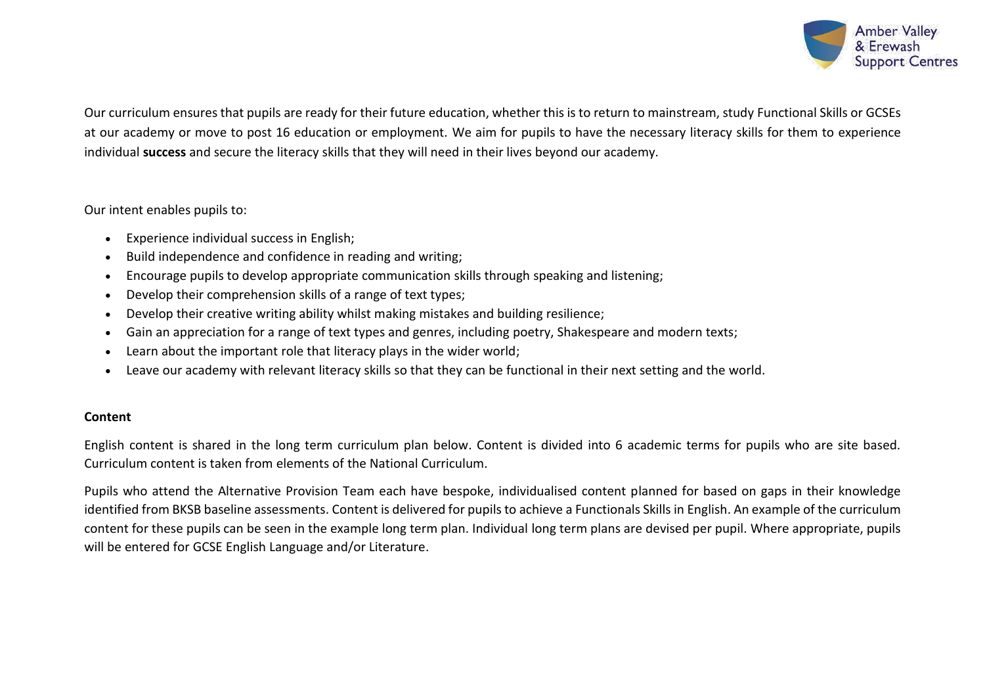

Our curriculum ensures that pupils are ready for their future education, whether this is to return to mainstream, study Functional Skills or GCSEs at our academy or move to post 16 education or employment. We aim for pupils to have the necessary literacy skills for them to experience individual **success** and secure the literacy skills that they will need in their lives beyond our academy.

## Our intent enables pupils to:

- Experience individual success in English;
- Build independence and confidence in reading and writing;
- Encourage pupils to develop appropriate communication skills through speaking and listening;
- Develop their comprehension skills of a range of text types;
- Develop their creative writing ability whilst making mistakes and building resilience;
- Gain an appreciation for a range of text types and genres, including poetry, Shakespeare and modern texts;
- Learn about the important role that literacy plays in the wider world;
- Leave our academy with relevant literacy skills so that they can be functional in their next setting and the world.

# **Content**

English content is shared in the long term curriculum plan below. Content is divided into 6 academic terms for pupils who are site based. Curriculum content is taken from elements of the National Curriculum.

Pupils who attend the Alternative Provision Team each have bespoke, individualised content planned for based on gaps in their knowledge identified from BKSB baseline assessments. Content is delivered for pupils to achieve a Functionals Skills in English. An example of the curriculum content for these pupils can be seen in the example long term plan. Individual long term plans are devised per pupil. Where appropriate, pupils will be entered for GCSE English Language and/or Literature.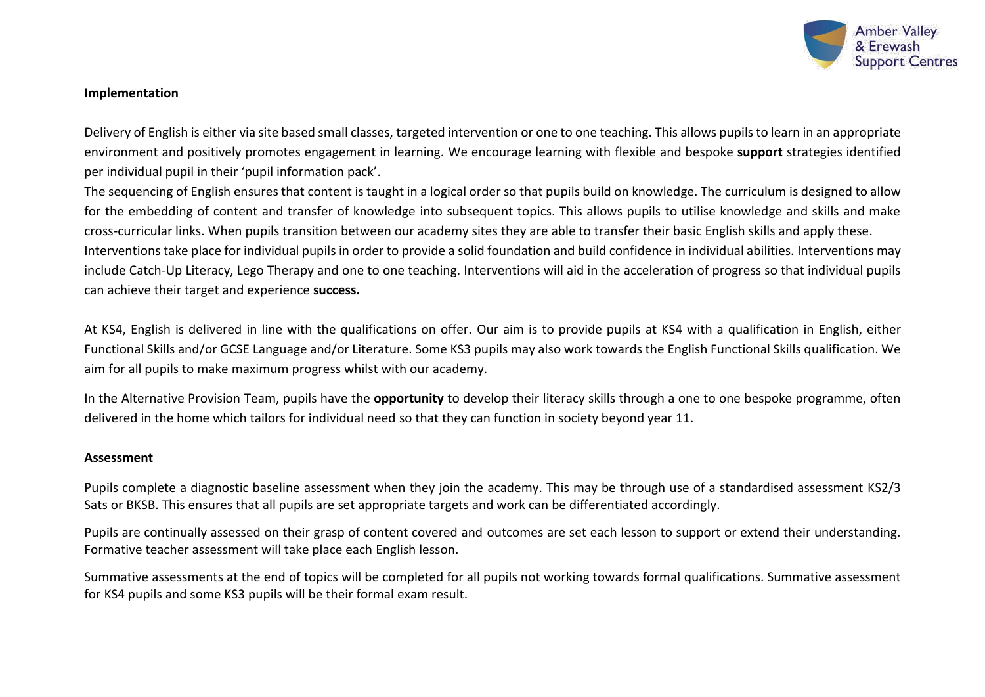

#### **Implementation**

Delivery of English is either via site based small classes, targeted intervention or one to one teaching. This allows pupils to learn in an appropriate environment and positively promotes engagement in learning. We encourage learning with flexible and bespoke **support** strategies identified per individual pupil in their 'pupil information pack'.

The sequencing of English ensures that content is taught in a logical order so that pupils build on knowledge. The curriculum is designed to allow for the embedding of content and transfer of knowledge into subsequent topics. This allows pupils to utilise knowledge and skills and make cross-curricular links. When pupils transition between our academy sites they are able to transfer their basic English skills and apply these. Interventions take place for individual pupils in order to provide a solid foundation and build confidence in individual abilities. Interventions may include Catch-Up Literacy, Lego Therapy and one to one teaching. Interventions will aid in the acceleration of progress so that individual pupils can achieve their target and experience **success.**

At KS4, English is delivered in line with the qualifications on offer. Our aim is to provide pupils at KS4 with a qualification in English, either Functional Skills and/or GCSE Language and/or Literature. Some KS3 pupils may also work towards the English Functional Skills qualification. We aim for all pupils to make maximum progress whilst with our academy.

In the Alternative Provision Team, pupils have the **opportunity** to develop their literacy skills through a one to one bespoke programme, often delivered in the home which tailors for individual need so that they can function in society beyond year 11.

#### **Assessment**

Pupils complete a diagnostic baseline assessment when they join the academy. This may be through use of a standardised assessment KS2/3 Sats or BKSB. This ensures that all pupils are set appropriate targets and work can be differentiated accordingly.

Pupils are continually assessed on their grasp of content covered and outcomes are set each lesson to support or extend their understanding. Formative teacher assessment will take place each English lesson.

Summative assessments at the end of topics will be completed for all pupils not working towards formal qualifications. Summative assessment for KS4 pupils and some KS3 pupils will be their formal exam result.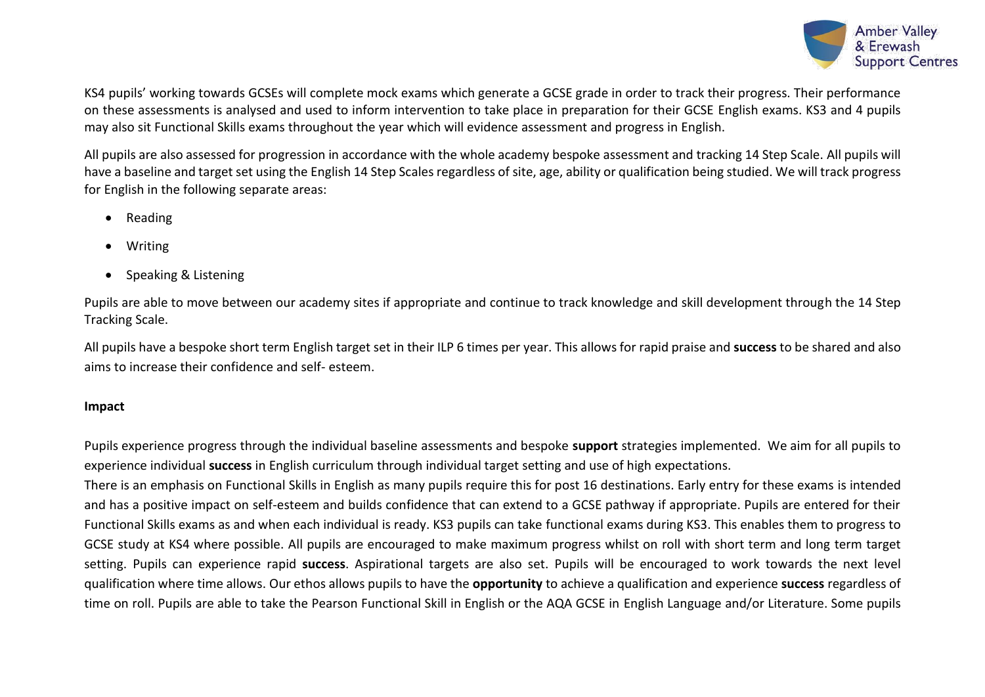

KS4 pupils' working towards GCSEs will complete mock exams which generate a GCSE grade in order to track their progress. Their performance on these assessments is analysed and used to inform intervention to take place in preparation for their GCSE English exams. KS3 and 4 pupils may also sit Functional Skills exams throughout the year which will evidence assessment and progress in English.

All pupils are also assessed for progression in accordance with the whole academy bespoke assessment and tracking 14 Step Scale. All pupils will have a baseline and target set using the English 14 Step Scales regardless of site, age, ability or qualification being studied. We will track progress for English in the following separate areas:

- Reading
- Writing
- Speaking & Listening

Pupils are able to move between our academy sites if appropriate and continue to track knowledge and skill development through the 14 Step Tracking Scale.

All pupils have a bespoke short term English target set in their ILP 6 times per year. This allows for rapid praise and **success** to be shared and also aims to increase their confidence and self- esteem.

## **Impact**

Pupils experience progress through the individual baseline assessments and bespoke **support** strategies implemented. We aim for all pupils to experience individual **success** in English curriculum through individual target setting and use of high expectations.

There is an emphasis on Functional Skills in English as many pupils require this for post 16 destinations. Early entry for these exams is intended and has a positive impact on self-esteem and builds confidence that can extend to a GCSE pathway if appropriate. Pupils are entered for their Functional Skills exams as and when each individual is ready. KS3 pupils can take functional exams during KS3. This enables them to progress to GCSE study at KS4 where possible. All pupils are encouraged to make maximum progress whilst on roll with short term and long term target setting. Pupils can experience rapid **success**. Aspirational targets are also set. Pupils will be encouraged to work towards the next level qualification where time allows. Our ethos allows pupils to have the **opportunity** to achieve a qualification and experience **success** regardless of time on roll. Pupils are able to take the Pearson Functional Skill in English or the AQA GCSE in English Language and/or Literature. Some pupils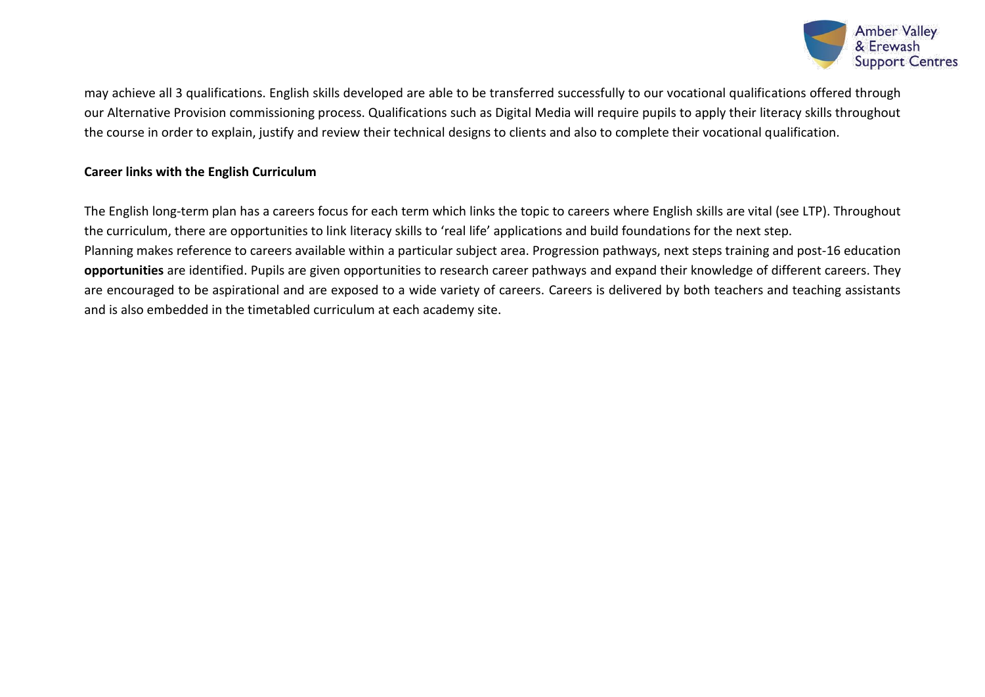

may achieve all 3 qualifications. English skills developed are able to be transferred successfully to our vocational qualifications offered through our Alternative Provision commissioning process. Qualifications such as Digital Media will require pupils to apply their literacy skills throughout the course in order to explain, justify and review their technical designs to clients and also to complete their vocational qualification.

## **Career links with the English Curriculum**

The English long-term plan has a careers focus for each term which links the topic to careers where English skills are vital (see LTP). Throughout the curriculum, there are opportunities to link literacy skills to 'real life' applications and build foundations for the next step. Planning makes reference to careers available within a particular subject area. Progression pathways, next steps training and post-16 education **opportunities** are identified. Pupils are given opportunities to research career pathways and expand their knowledge of different careers. They are encouraged to be aspirational and are exposed to a wide variety of careers. Careers is delivered by both teachers and teaching assistants and is also embedded in the timetabled curriculum at each academy site.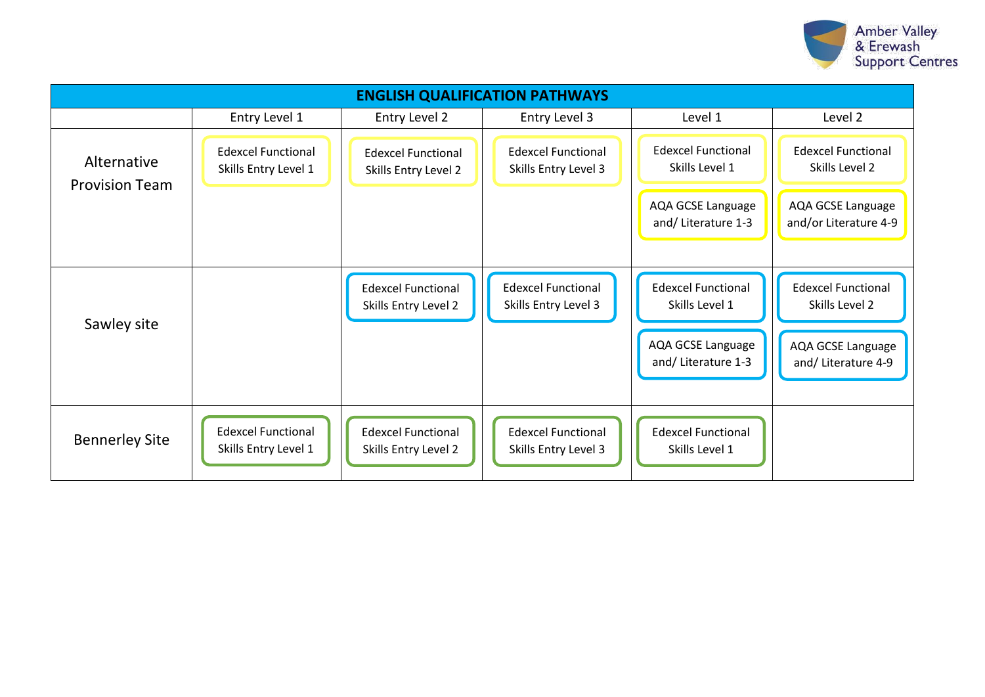

| <b>ENGLISH QUALIFICATION PATHWAYS</b> |                                                   |                                                   |                                                   |                                                                                         |                                                                                        |  |
|---------------------------------------|---------------------------------------------------|---------------------------------------------------|---------------------------------------------------|-----------------------------------------------------------------------------------------|----------------------------------------------------------------------------------------|--|
|                                       | Entry Level 1                                     | Entry Level 2                                     | Entry Level 3                                     | Level 1                                                                                 | Level 2                                                                                |  |
| Alternative<br><b>Provision Team</b>  | <b>Edexcel Functional</b><br>Skills Entry Level 1 | <b>Edexcel Functional</b><br>Skills Entry Level 2 | <b>Edexcel Functional</b><br>Skills Entry Level 3 | <b>Edexcel Functional</b><br>Skills Level 1                                             | <b>Edexcel Functional</b><br>Skills Level 2                                            |  |
|                                       |                                                   |                                                   |                                                   | AQA GCSE Language<br>and/Literature 1-3                                                 | AQA GCSE Language<br>and/or Literature 4-9                                             |  |
| Sawley site                           |                                                   | <b>Edexcel Functional</b><br>Skills Entry Level 2 | <b>Edexcel Functional</b><br>Skills Entry Level 3 | <b>Edexcel Functional</b><br>Skills Level 1<br>AQA GCSE Language<br>and/ Literature 1-3 | <b>Edexcel Functional</b><br>Skills Level 2<br>AQA GCSE Language<br>and/Literature 4-9 |  |
| <b>Bennerley Site</b>                 | <b>Edexcel Functional</b><br>Skills Entry Level 1 | <b>Edexcel Functional</b><br>Skills Entry Level 2 | <b>Edexcel Functional</b><br>Skills Entry Level 3 | <b>Edexcel Functional</b><br>Skills Level 1                                             |                                                                                        |  |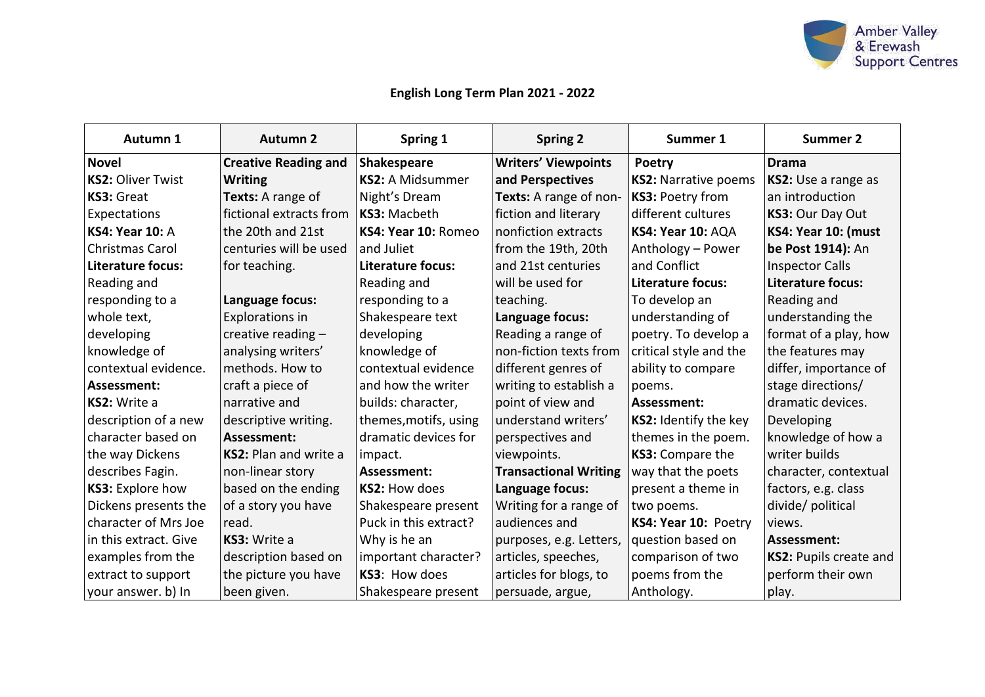

# **English Long Term Plan 2021 - 2022**

| Autumn 1                 | <b>Autumn 2</b>             | Spring 1                | <b>Spring 2</b>              | Summer 1                    | <b>Summer 2</b>        |
|--------------------------|-----------------------------|-------------------------|------------------------------|-----------------------------|------------------------|
| <b>Novel</b>             | <b>Creative Reading and</b> | Shakespeare             | <b>Writers' Viewpoints</b>   | Poetry                      | <b>Drama</b>           |
| <b>KS2: Oliver Twist</b> | <b>Writing</b>              | <b>KS2: A Midsummer</b> | and Perspectives             | <b>KS2: Narrative poems</b> | KS2: Use a range as    |
| KS3: Great               | Texts: A range of           | Night's Dream           | Texts: A range of non-       | KS3: Poetry from            | an introduction        |
| Expectations             | fictional extracts from     | KS3: Macbeth            | fiction and literary         | different cultures          | KS3: Our Day Out       |
| <b>KS4: Year 10: A</b>   | the 20th and 21st           | KS4: Year 10: Romeo     | nonfiction extracts          | KS4: Year 10: AQA           | KS4: Year 10: (must    |
| Christmas Carol          | centuries will be used      | and Juliet              | from the 19th, 20th          | Anthology - Power           | be Post 1914): An      |
| Literature focus:        | for teaching.               | Literature focus:       | and 21st centuries           | and Conflict                | <b>Inspector Calls</b> |
| Reading and              |                             | Reading and             | will be used for             | Literature focus:           | Literature focus:      |
| responding to a          | Language focus:             | responding to a         | teaching.                    | To develop an               | Reading and            |
| whole text,              | Explorations in             | Shakespeare text        | Language focus:              | understanding of            | understanding the      |
| developing               | creative reading -          | developing              | Reading a range of           | poetry. To develop a        | format of a play, how  |
| knowledge of             | analysing writers'          | knowledge of            | non-fiction texts from       | critical style and the      | the features may       |
| contextual evidence.     | methods. How to             | contextual evidence     | different genres of          | ability to compare          | differ, importance of  |
| Assessment:              | craft a piece of            | and how the writer      | writing to establish a       | poems.                      | stage directions/      |
| KS2: Write a             | narrative and               | builds: character,      | point of view and            | Assessment:                 | dramatic devices.      |
| description of a new     | descriptive writing.        | themes, motifs, using   | understand writers'          | KS2: Identify the key       | Developing             |
| character based on       | Assessment:                 | dramatic devices for    | perspectives and             | themes in the poem.         | knowledge of how a     |
| the way Dickens          | KS2: Plan and write a       | impact.                 | viewpoints.                  | KS3: Compare the            | writer builds          |
| describes Fagin.         | non-linear story            | Assessment:             | <b>Transactional Writing</b> | way that the poets          | character, contextual  |
| KS3: Explore how         | based on the ending         | KS2: How does           | Language focus:              | present a theme in          | factors, e.g. class    |
| Dickens presents the     | of a story you have         | Shakespeare present     | Writing for a range of       | two poems.                  | divide/ political      |
| character of Mrs Joe     | read.                       | Puck in this extract?   | audiences and                | KS4: Year 10: Poetry        | views.                 |
| in this extract. Give    | KS3: Write a                | Why is he an            | purposes, e.g. Letters,      | question based on           | Assessment:            |
| examples from the        | description based on        | important character?    | articles, speeches,          | comparison of two           | KS2: Pupils create and |
| extract to support       | the picture you have        | KS3: How does           | articles for blogs, to       | poems from the              | perform their own      |
| your answer. b) In       | been given.                 | Shakespeare present     | persuade, argue,             | Anthology.                  | play.                  |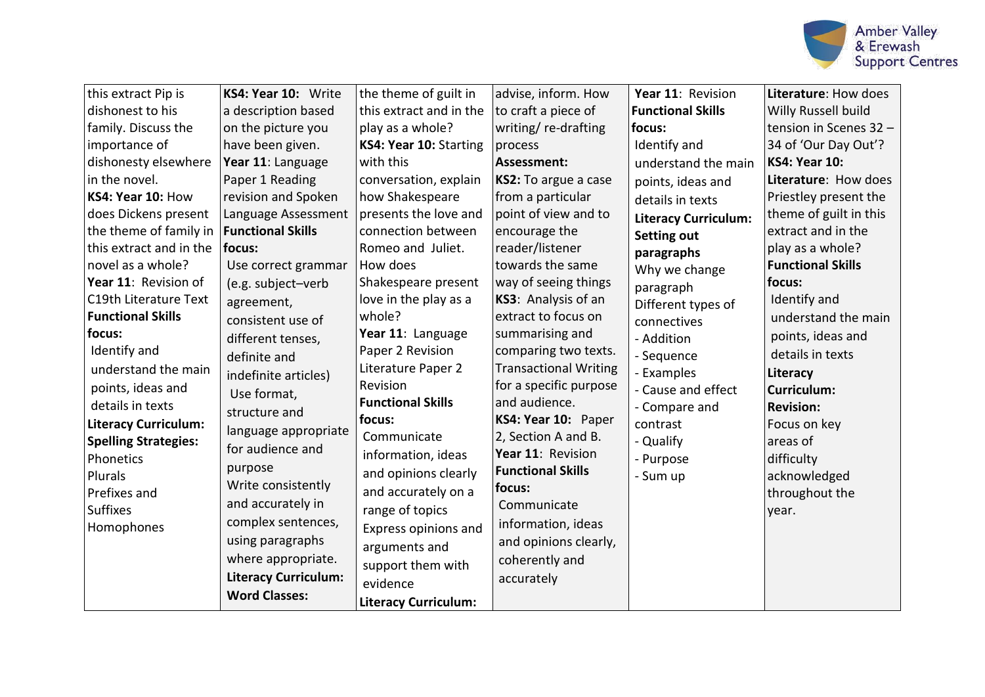

| this extract Pip is         | KS4: Year 10: Write         | the theme of guilt in       | advise, inform. How          | Year 11: Revision           | Literature: How does     |
|-----------------------------|-----------------------------|-----------------------------|------------------------------|-----------------------------|--------------------------|
| dishonest to his            | a description based         | this extract and in the     | to craft a piece of          | <b>Functional Skills</b>    | Willy Russell build      |
| family. Discuss the         | on the picture you          | play as a whole?            | writing/re-drafting          | focus:                      | tension in Scenes 32 -   |
| importance of               | have been given.            | KS4: Year 10: Starting      | process                      | Identify and                | 34 of 'Our Day Out'?     |
| dishonesty elsewhere        | Year 11: Language           | with this                   | Assessment:                  | understand the main         | <b>KS4: Year 10:</b>     |
| in the novel.               | Paper 1 Reading             | conversation, explain       | KS2: To argue a case         | points, ideas and           | Literature: How does     |
| KS4: Year 10: How           | revision and Spoken         | how Shakespeare             | from a particular            | details in texts            | Priestley present the    |
| does Dickens present        | Language Assessment         | presents the love and       | point of view and to         | <b>Literacy Curriculum:</b> | theme of guilt in this   |
| the theme of family in      | <b>Functional Skills</b>    | connection between          | encourage the                | <b>Setting out</b>          | extract and in the       |
| this extract and in the     | focus:                      | Romeo and Juliet.           | reader/listener              | paragraphs                  | play as a whole?         |
| novel as a whole?           | Use correct grammar         | How does                    | towards the same             | Why we change               | <b>Functional Skills</b> |
| Year 11: Revision of        | (e.g. subject-verb          | Shakespeare present         | way of seeing things         | paragraph                   | focus:                   |
| C19th Literature Text       | agreement,                  | love in the play as a       | KS3: Analysis of an          | Different types of          | Identify and             |
| <b>Functional Skills</b>    | consistent use of           | whole?                      | extract to focus on          | connectives                 | understand the main      |
| focus:                      | different tenses,           | Year 11: Language           | summarising and              | - Addition                  | points, ideas and        |
| Identify and                | definite and                | Paper 2 Revision            | comparing two texts.         | - Sequence                  | details in texts         |
| understand the main         | indefinite articles)        | Literature Paper 2          | <b>Transactional Writing</b> | - Examples                  | Literacy                 |
| points, ideas and           | Use format,                 | Revision                    | for a specific purpose       | - Cause and effect          | <b>Curriculum:</b>       |
| details in texts            | structure and               | <b>Functional Skills</b>    | and audience.                | - Compare and               | <b>Revision:</b>         |
| <b>Literacy Curriculum:</b> |                             | focus:                      | KS4: Year 10: Paper          | contrast                    | Focus on key             |
| <b>Spelling Strategies:</b> | language appropriate        | Communicate                 | 2, Section A and B.          | - Qualify                   | areas of                 |
| Phonetics                   | for audience and            | information, ideas          | Year 11: Revision            | - Purpose                   | difficulty               |
| Plurals                     | purpose                     | and opinions clearly        | <b>Functional Skills</b>     | - Sum up                    | acknowledged             |
| Prefixes and                | Write consistently          | and accurately on a         | focus:                       |                             | throughout the           |
| <b>Suffixes</b>             | and accurately in           | range of topics             | Communicate                  |                             | year.                    |
| Homophones                  | complex sentences,          | Express opinions and        | information, ideas           |                             |                          |
|                             | using paragraphs            | arguments and               | and opinions clearly,        |                             |                          |
|                             | where appropriate.          | support them with           | coherently and               |                             |                          |
|                             | <b>Literacy Curriculum:</b> | evidence                    | accurately                   |                             |                          |
|                             | <b>Word Classes:</b>        | <b>Literacy Curriculum:</b> |                              |                             |                          |
|                             |                             |                             |                              |                             |                          |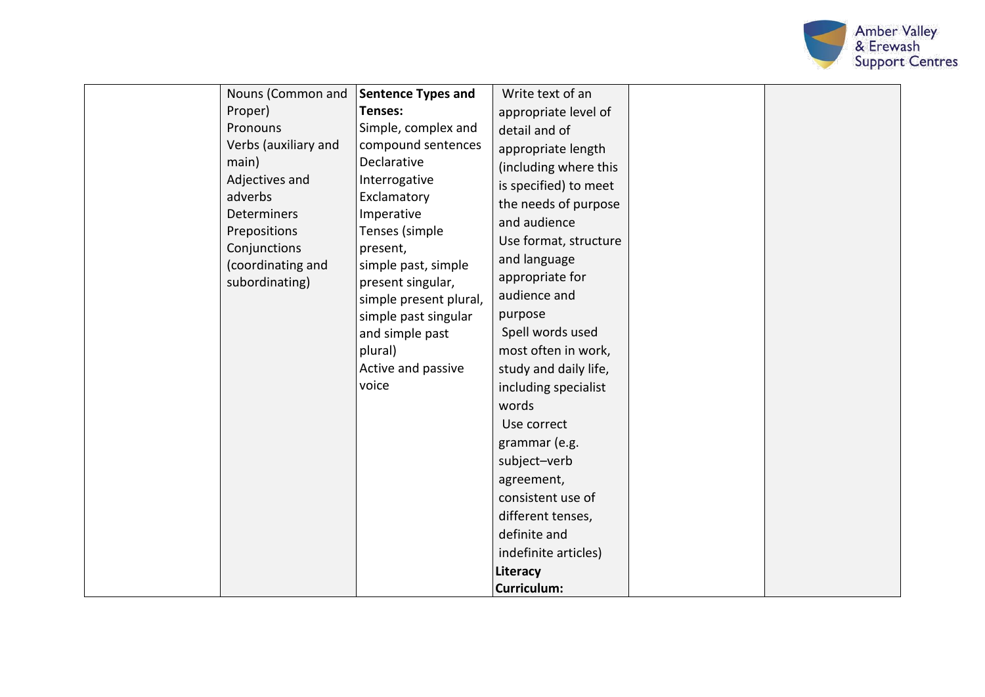

| Nouns (Common and<br>Proper)<br>Pronouns<br>Verbs (auxiliary and<br>main)<br>Adjectives and<br>adverbs<br><b>Determiners</b><br>Prepositions | Sentence Types and<br>Tenses:<br>Simple, complex and<br>compound sentences<br>Declarative<br>Interrogative<br>Exclamatory<br>Imperative<br>Tenses (simple | Write text of an<br>appropriate level of<br>detail and of<br>appropriate length<br>(including where this<br>is specified) to meet<br>the needs of purpose<br>and audience                                                                                                                                                  |  |
|----------------------------------------------------------------------------------------------------------------------------------------------|-----------------------------------------------------------------------------------------------------------------------------------------------------------|----------------------------------------------------------------------------------------------------------------------------------------------------------------------------------------------------------------------------------------------------------------------------------------------------------------------------|--|
| subordinating)                                                                                                                               | present singular,<br>simple present plural,<br>simple past singular<br>and simple past<br>plural)<br>Active and passive<br>voice                          | appropriate for<br>audience and<br>purpose<br>Spell words used<br>most often in work,<br>study and daily life,<br>including specialist<br>words<br>Use correct<br>grammar (e.g.<br>subject-verb<br>agreement,<br>consistent use of<br>different tenses,<br>definite and<br>indefinite articles)<br>Literacy<br>Curriculum: |  |